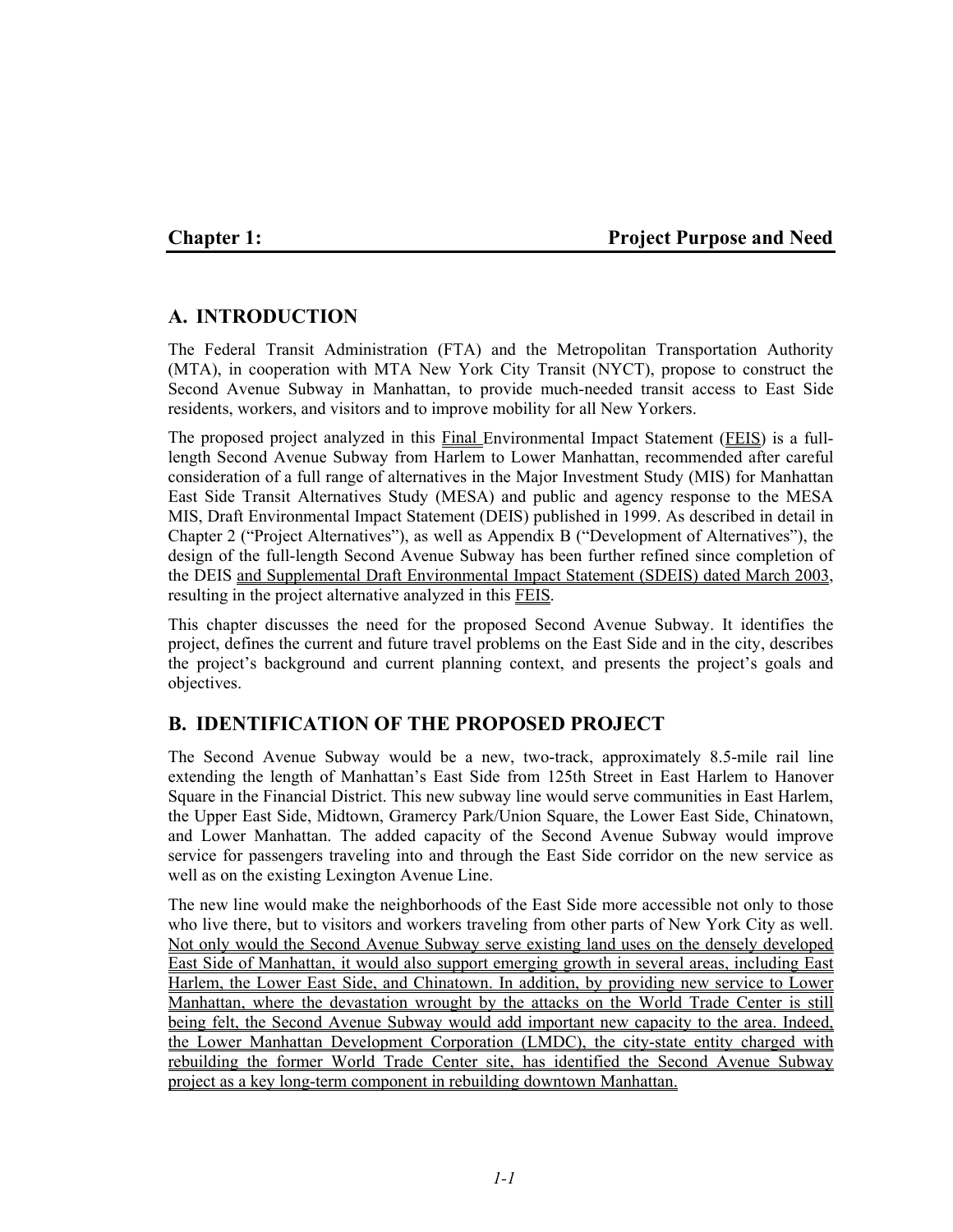# **Chapter 1:** Project Purpose and Need

# **A. INTRODUCTION**

The Federal Transit Administration (FTA) and the Metropolitan Transportation Authority (MTA), in cooperation with MTA New York City Transit (NYCT), propose to construct the Second Avenue Subway in Manhattan, to provide much-needed transit access to East Side residents, workers, and visitors and to improve mobility for all New Yorkers.

The proposed project analyzed in this Final Environmental Impact Statement (FEIS) is a fulllength Second Avenue Subway from Harlem to Lower Manhattan, recommended after careful consideration of a full range of alternatives in the Major Investment Study (MIS) for Manhattan East Side Transit Alternatives Study (MESA) and public and agency response to the MESA MIS, Draft Environmental Impact Statement (DEIS) published in 1999. As described in detail in Chapter 2 ("Project Alternatives"), as well as Appendix B ("Development of Alternatives"), the design of the full-length Second Avenue Subway has been further refined since completion of the DEIS and Supplemental Draft Environmental Impact Statement (SDEIS) dated March 2003, resulting in the project alternative analyzed in this FEIS.

This chapter discusses the need for the proposed Second Avenue Subway. It identifies the project, defines the current and future travel problems on the East Side and in the city, describes the project's background and current planning context, and presents the project's goals and objectives.

# **B. IDENTIFICATION OF THE PROPOSED PROJECT**

The Second Avenue Subway would be a new, two-track, approximately 8.5-mile rail line extending the length of Manhattan's East Side from 125th Street in East Harlem to Hanover Square in the Financial District. This new subway line would serve communities in East Harlem, the Upper East Side, Midtown, Gramercy Park/Union Square, the Lower East Side, Chinatown, and Lower Manhattan. The added capacity of the Second Avenue Subway would improve service for passengers traveling into and through the East Side corridor on the new service as well as on the existing Lexington Avenue Line.

The new line would make the neighborhoods of the East Side more accessible not only to those who live there, but to visitors and workers traveling from other parts of New York City as well. Not only would the Second Avenue Subway serve existing land uses on the densely developed East Side of Manhattan, it would also support emerging growth in several areas, including East Harlem, the Lower East Side, and Chinatown. In addition, by providing new service to Lower Manhattan, where the devastation wrought by the attacks on the World Trade Center is still being felt, the Second Avenue Subway would add important new capacity to the area. Indeed, the Lower Manhattan Development Corporation (LMDC), the city-state entity charged with rebuilding the former World Trade Center site, has identified the Second Avenue Subway project as a key long-term component in rebuilding downtown Manhattan.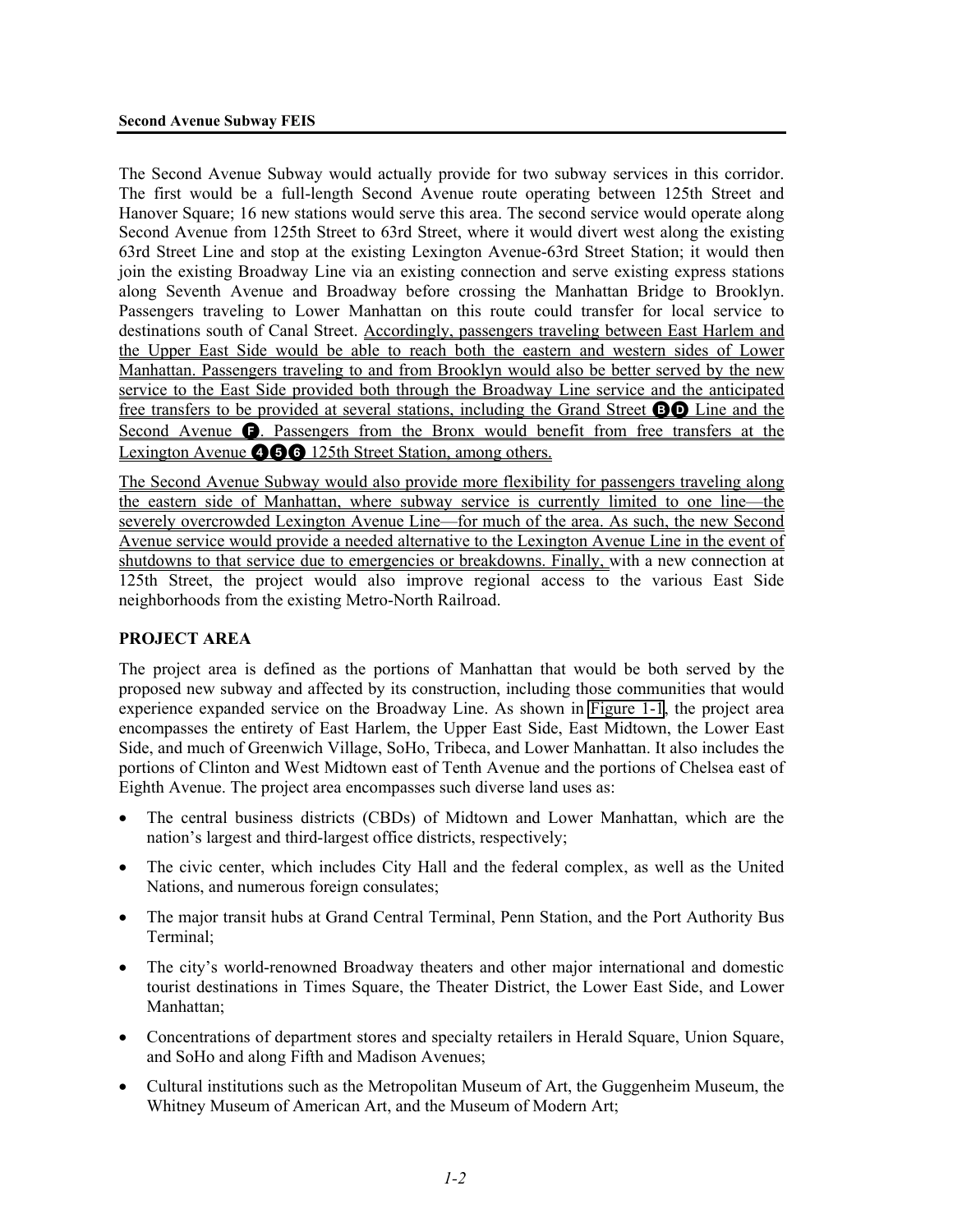The Second Avenue Subway would actually provide for two subway services in this corridor. The first would be a full-length Second Avenue route operating between 125th Street and Hanover Square; 16 new stations would serve this area. The second service would operate along Second Avenue from 125th Street to 63rd Street, where it would divert west along the existing 63rd Street Line and stop at the existing Lexington Avenue-63rd Street Station; it would then join the existing Broadway Line via an existing connection and serve existing express stations along Seventh Avenue and Broadway before crossing the Manhattan Bridge to Brooklyn. Passengers traveling to Lower Manhattan on this route could transfer for local service to destinations south of Canal Street. Accordingly, passengers traveling between East Harlem and the Upper East Side would be able to reach both the eastern and western sides of Lower Manhattan. Passengers traveling to and from Brooklyn would also be better served by the new service to the East Side provided both through the Broadway Line service and the anticipated free transfers to be provided at several stations, including the Grand Street **BO** Line and the Second Avenue  $\bigodot$ . Passengers from the Bronx would benefit from free transfers at the Lexington Avenue **466** 125th Street Station, among others.

The Second Avenue Subway would also provide more flexibility for passengers traveling along the eastern side of Manhattan, where subway service is currently limited to one line—the severely overcrowded Lexington Avenue Line—for much of the area. As such, the new Second Avenue service would provide a needed alternative to the Lexington Avenue Line in the event of shutdowns to that service due to emergencies or breakdowns. Finally, with a new connection at 125th Street, the project would also improve regional access to the various East Side neighborhoods from the existing Metro-North Railroad.

#### **PROJECT AREA**

The project area is defined as the portions of Manhattan that would be both served by the proposed new subway and affected by its construction, including those communities that would experience expanded service on the Broadway Line. As shown in Figure 1-1, the project area encompasses the entirety of East Harlem, the Upper East Side, East Midtown, the Lower East Side, and much of Greenwich Village, SoHo, Tribeca, and Lower Manhattan. It also includes the portions of Clinton and West Midtown east of Tenth Avenue and the portions of Chelsea east of Eighth Avenue. The project area encompasses such diverse land uses as:

- The central business districts (CBDs) of Midtown and Lower Manhattan, which are the nation's largest and third-largest office districts, respectively;
- The civic center, which includes City Hall and the federal complex, as well as the United Nations, and numerous foreign consulates;
- The major transit hubs at Grand Central Terminal, Penn Station, and the Port Authority Bus Terminal;
- The city's world-renowned Broadway theaters and other major international and domestic tourist destinations in Times Square, the Theater District, the Lower East Side, and Lower Manhattan;
- Concentrations of department stores and specialty retailers in Herald Square, Union Square, and SoHo and along Fifth and Madison Avenues;
- Cultural institutions such as the Metropolitan Museum of Art, the Guggenheim Museum, the Whitney Museum of American Art, and the Museum of Modern Art;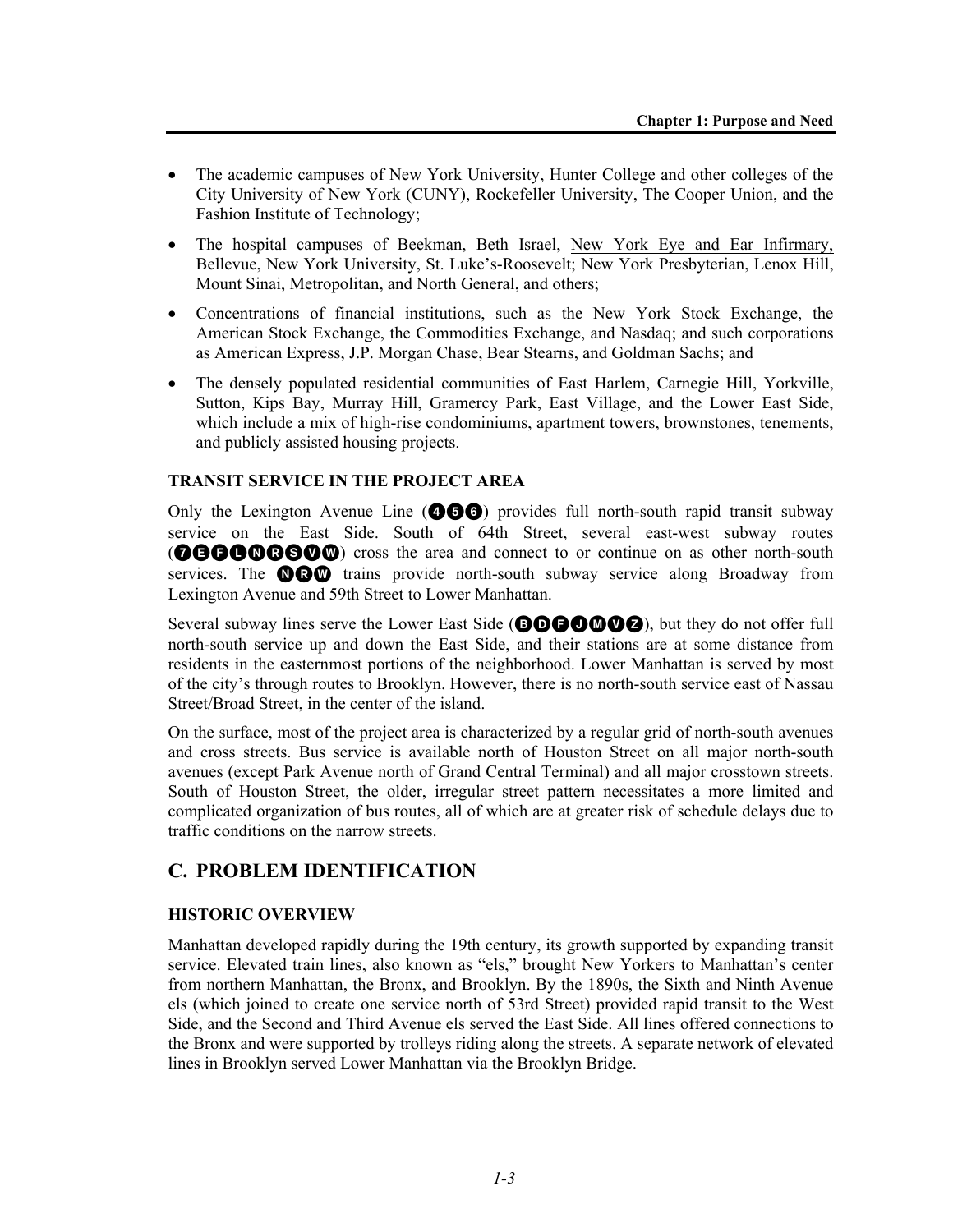- The academic campuses of New York University, Hunter College and other colleges of the City University of New York (CUNY), Rockefeller University, The Cooper Union, and the Fashion Institute of Technology;
- The hospital campuses of Beekman, Beth Israel, New York Eye and Ear Infirmary, Bellevue, New York University, St. Luke's-Roosevelt; New York Presbyterian, Lenox Hill, Mount Sinai, Metropolitan, and North General, and others;
- Concentrations of financial institutions, such as the New York Stock Exchange, the American Stock Exchange, the Commodities Exchange, and Nasdaq; and such corporations as American Express, J.P. Morgan Chase, Bear Stearns, and Goldman Sachs; and
- The densely populated residential communities of East Harlem, Carnegie Hill, Yorkville, Sutton, Kips Bay, Murray Hill, Gramercy Park, East Village, and the Lower East Side, which include a mix of high-rise condominiums, apartment towers, brownstones, tenements, and publicly assisted housing projects.

## **TRANSIT SERVICE IN THE PROJECT AREA**

Only the Lexington Avenue Line ( $\bullet\bullet\bullet$ ) provides full north-south rapid transit subway service on the East Side. South of 64th Street, several east-west subway routes **@BBOO@SO** cross the area and connect to or continue on as other north-south services. The **OCO** trains provide north-south subway service along Broadway from Lexington Avenue and 59th Street to Lower Manhattan.

Several subway lines serve the Lower East Side (**BDBOMVZ**), but they do not offer full north-south service up and down the East Side, and their stations are at some distance from residents in the easternmost portions of the neighborhood. Lower Manhattan is served by most of the city's through routes to Brooklyn. However, there is no north-south service east of Nassau Street/Broad Street, in the center of the island.

On the surface, most of the project area is characterized by a regular grid of north-south avenues and cross streets. Bus service is available north of Houston Street on all major north-south avenues (except Park Avenue north of Grand Central Terminal) and all major crosstown streets. South of Houston Street, the older, irregular street pattern necessitates a more limited and complicated organization of bus routes, all of which are at greater risk of schedule delays due to traffic conditions on the narrow streets.

# **C. PROBLEM IDENTIFICATION**

# **HISTORIC OVERVIEW**

Manhattan developed rapidly during the 19th century, its growth supported by expanding transit service. Elevated train lines, also known as "els," brought New Yorkers to Manhattan's center from northern Manhattan, the Bronx, and Brooklyn. By the 1890s, the Sixth and Ninth Avenue els (which joined to create one service north of 53rd Street) provided rapid transit to the West Side, and the Second and Third Avenue els served the East Side. All lines offered connections to the Bronx and were supported by trolleys riding along the streets. A separate network of elevated lines in Brooklyn served Lower Manhattan via the Brooklyn Bridge.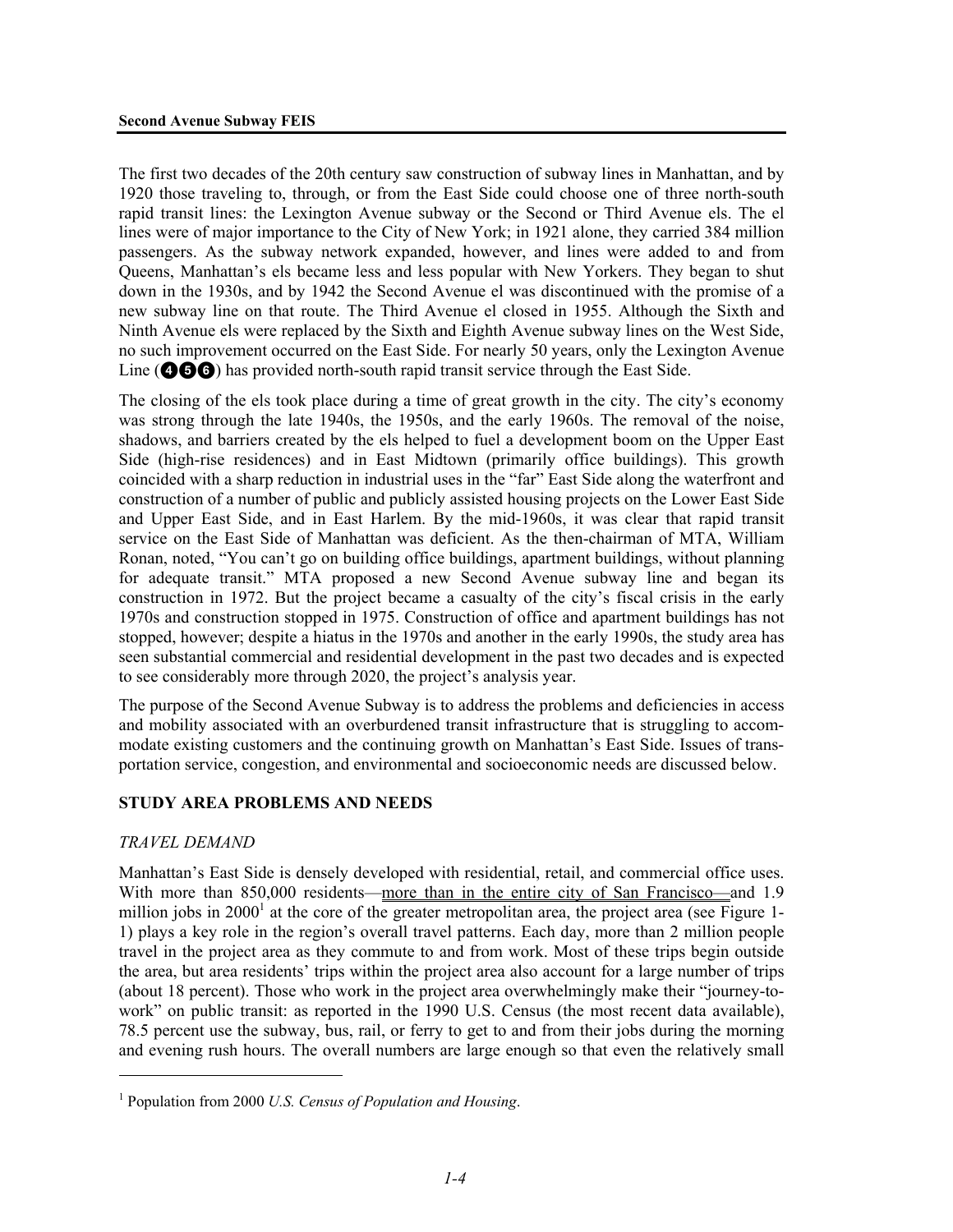The first two decades of the 20th century saw construction of subway lines in Manhattan, and by 1920 those traveling to, through, or from the East Side could choose one of three north-south rapid transit lines: the Lexington Avenue subway or the Second or Third Avenue els. The el lines were of major importance to the City of New York; in 1921 alone, they carried 384 million passengers. As the subway network expanded, however, and lines were added to and from Queens, Manhattan's els became less and less popular with New Yorkers. They began to shut down in the 1930s, and by 1942 the Second Avenue el was discontinued with the promise of a new subway line on that route. The Third Avenue el closed in 1955. Although the Sixth and Ninth Avenue els were replaced by the Sixth and Eighth Avenue subway lines on the West Side, no such improvement occurred on the East Side. For nearly 50 years, only the Lexington Avenue Line (466) has provided north-south rapid transit service through the East Side.

The closing of the els took place during a time of great growth in the city. The city's economy was strong through the late 1940s, the 1950s, and the early 1960s. The removal of the noise, shadows, and barriers created by the els helped to fuel a development boom on the Upper East Side (high-rise residences) and in East Midtown (primarily office buildings). This growth coincided with a sharp reduction in industrial uses in the "far" East Side along the waterfront and construction of a number of public and publicly assisted housing projects on the Lower East Side and Upper East Side, and in East Harlem. By the mid-1960s, it was clear that rapid transit service on the East Side of Manhattan was deficient. As the then-chairman of MTA, William Ronan, noted, "You can't go on building office buildings, apartment buildings, without planning for adequate transit." MTA proposed a new Second Avenue subway line and began its construction in 1972. But the project became a casualty of the city's fiscal crisis in the early 1970s and construction stopped in 1975. Construction of office and apartment buildings has not stopped, however; despite a hiatus in the 1970s and another in the early 1990s, the study area has seen substantial commercial and residential development in the past two decades and is expected to see considerably more through 2020, the project's analysis year.

The purpose of the Second Avenue Subway is to address the problems and deficiencies in access and mobility associated with an overburdened transit infrastructure that is struggling to accommodate existing customers and the continuing growth on Manhattan's East Side. Issues of transportation service, congestion, and environmental and socioeconomic needs are discussed below.

#### **STUDY AREA PROBLEMS AND NEEDS**

#### *TRAVEL DEMAND*

<u>.</u>

Manhattan's East Side is densely developed with residential, retail, and commercial office uses. With more than 850,000 residents—more than in the entire city of San Francisco—and 1.9 million jobs in  $2000<sup>1</sup>$  at the core of the greater metropolitan area, the project area (see Figure 1-1) plays a key role in the region's overall travel patterns. Each day, more than 2 million people travel in the project area as they commute to and from work. Most of these trips begin outside the area, but area residents' trips within the project area also account for a large number of trips (about 18 percent). Those who work in the project area overwhelmingly make their "journey-towork" on public transit: as reported in the 1990 U.S. Census (the most recent data available), 78.5 percent use the subway, bus, rail, or ferry to get to and from their jobs during the morning and evening rush hours. The overall numbers are large enough so that even the relatively small

<sup>1</sup> Population from 2000 *U.S. Census of Population and Housing*.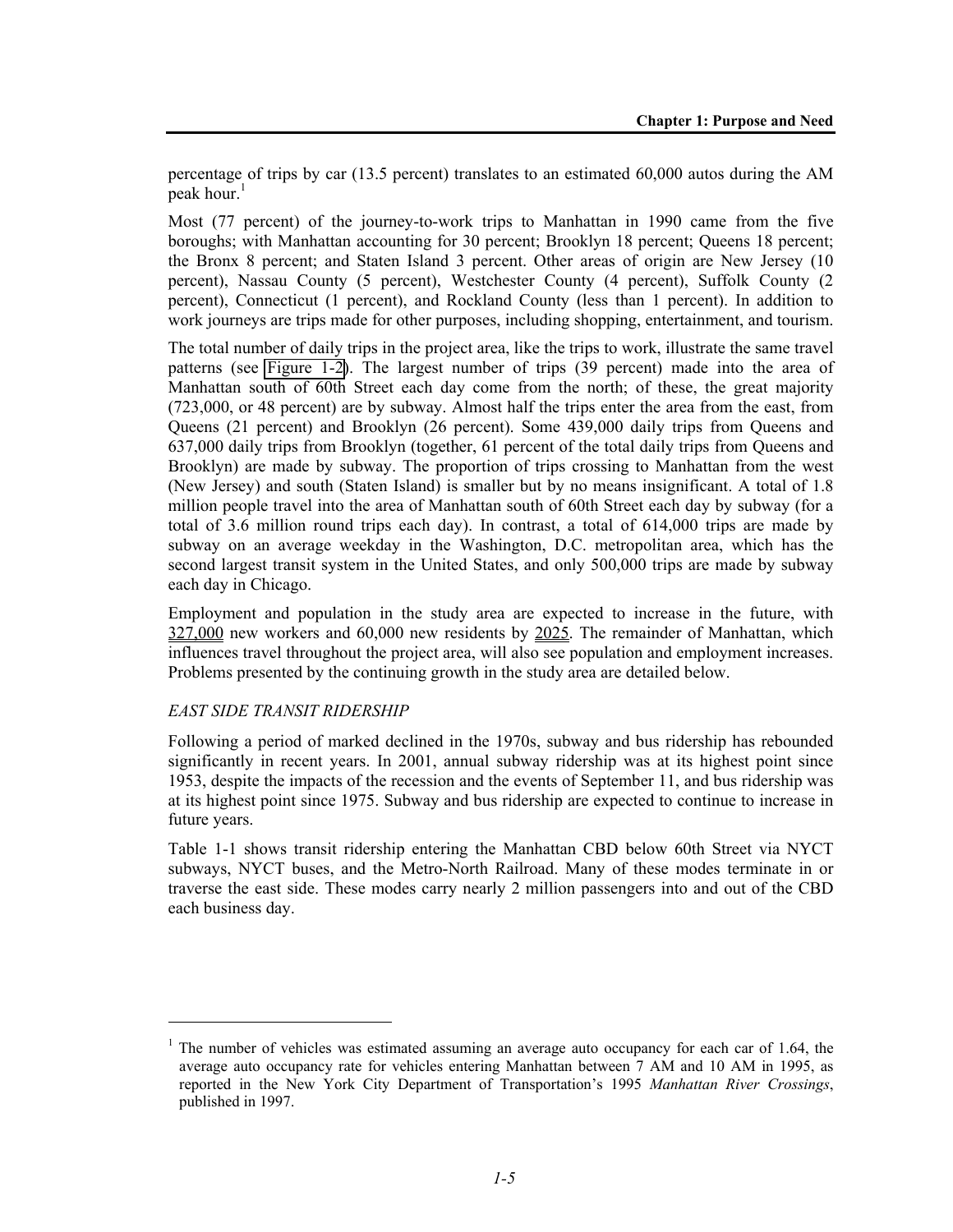percentage of trips by car (13.5 percent) translates to an estimated 60,000 autos during the AM peak hour. $<sup>1</sup>$ </sup>

Most (77 percent) of the journey-to-work trips to Manhattan in 1990 came from the five boroughs; with Manhattan accounting for 30 percent; Brooklyn 18 percent; Queens 18 percent; the Bronx 8 percent; and Staten Island 3 percent. Other areas of origin are New Jersey (10 percent), Nassau County (5 percent), Westchester County (4 percent), Suffolk County (2 percent), Connecticut (1 percent), and Rockland County (less than 1 percent). In addition to work journeys are trips made for other purposes, including shopping, entertainment, and tourism.

The total number of daily trips in the project area, like the trips to work, illustrate the same travel patterns (see Figure 1-2). The largest number of trips (39 percent) made into the area of Manhattan south of 60th Street each day come from the north; of these, the great majority (723,000, or 48 percent) are by subway. Almost half the trips enter the area from the east, from Queens (21 percent) and Brooklyn (26 percent). Some 439,000 daily trips from Queens and 637,000 daily trips from Brooklyn (together, 61 percent of the total daily trips from Queens and Brooklyn) are made by subway. The proportion of trips crossing to Manhattan from the west (New Jersey) and south (Staten Island) is smaller but by no means insignificant. A total of 1.8 million people travel into the area of Manhattan south of 60th Street each day by subway (for a total of 3.6 million round trips each day). In contrast, a total of 614,000 trips are made by subway on an average weekday in the Washington, D.C. metropolitan area, which has the second largest transit system in the United States, and only 500,000 trips are made by subway each day in Chicago.

Employment and population in the study area are expected to increase in the future, with 327,000 new workers and 60,000 new residents by 2025. The remainder of Manhattan, which influences travel throughout the project area, will also see population and employment increases. Problems presented by the continuing growth in the study area are detailed below.

# *EAST SIDE TRANSIT RIDERSHIP*

l

Following a period of marked declined in the 1970s, subway and bus ridership has rebounded significantly in recent years. In 2001, annual subway ridership was at its highest point since 1953, despite the impacts of the recession and the events of September 11, and bus ridership was at its highest point since 1975. Subway and bus ridership are expected to continue to increase in future years.

Table 1-1 shows transit ridership entering the Manhattan CBD below 60th Street via NYCT subways, NYCT buses, and the Metro-North Railroad. Many of these modes terminate in or traverse the east side. These modes carry nearly 2 million passengers into and out of the CBD each business day.

<sup>&</sup>lt;sup>1</sup> The number of vehicles was estimated assuming an average auto occupancy for each car of 1.64, the average auto occupancy rate for vehicles entering Manhattan between 7 AM and 10 AM in 1995, as reported in the New York City Department of Transportation's 1995 *Manhattan River Crossings*, published in 1997.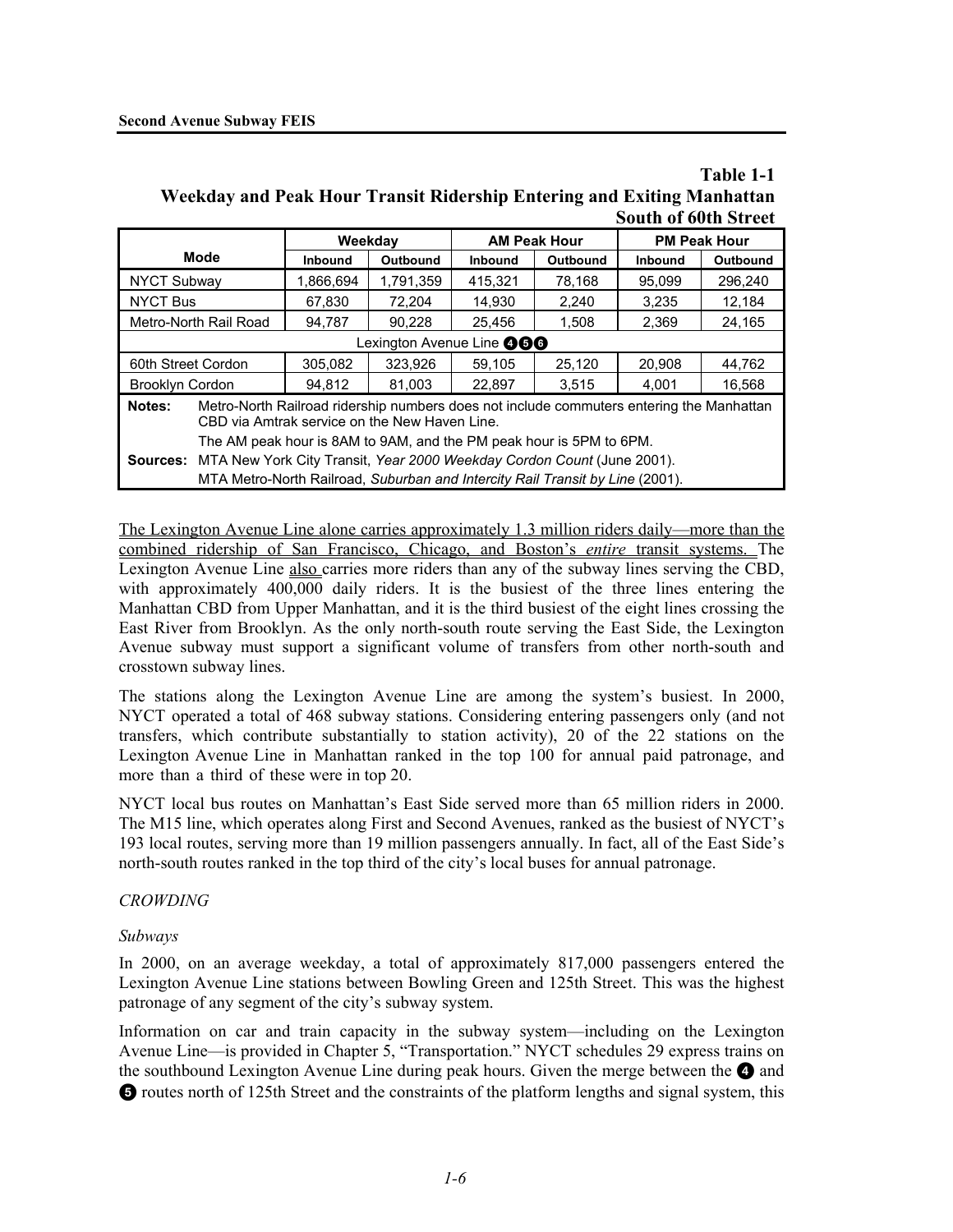#### **Table 1-1 Weekday and Peak Hour Transit Ridership Entering and Exiting Manhattan South of 60th Street**

|                                                                                                                                                     |                | Weekdav         |                | <b>AM Peak Hour</b> |                | <b>PM Peak Hour</b> |  |
|-----------------------------------------------------------------------------------------------------------------------------------------------------|----------------|-----------------|----------------|---------------------|----------------|---------------------|--|
| <b>Mode</b>                                                                                                                                         | <b>Inbound</b> | <b>Outbound</b> | <b>Inbound</b> | Outbound            | <b>Inbound</b> | Outbound            |  |
| <b>NYCT Subway</b>                                                                                                                                  | 1.866.694      | 1,791,359       | 415.321        | 78,168              | 95.099         | 296.240             |  |
| <b>NYCT Bus</b>                                                                                                                                     | 67.830         | 72.204          | 14.930         | 2.240               | 3.235          | 12,184              |  |
| Metro-North Rail Road                                                                                                                               | 94,787         | 90,228          | 25,456         | 1,508               | 2,369          | 24,165              |  |
| Lexington Avenue Line <b>@60</b>                                                                                                                    |                |                 |                |                     |                |                     |  |
| 60th Street Cordon                                                                                                                                  | 305.082        | 323.926         | 59.105         | 25,120              | 20.908         | 44,762              |  |
| <b>Brooklyn Cordon</b>                                                                                                                              | 94.812         | 81.003          | 22.897         | 3.515               | 4,001          | 16,568              |  |
| Metro-North Railroad ridership numbers does not include commuters entering the Manhattan<br>Notes:<br>CBD via Amtrak service on the New Haven Line. |                |                 |                |                     |                |                     |  |
| The AM peak hour is 8AM to 9AM, and the PM peak hour is 5PM to 6PM.                                                                                 |                |                 |                |                     |                |                     |  |
| MTA New York City Transit, Year 2000 Weekday Cordon Count (June 2001).<br>Sources:                                                                  |                |                 |                |                     |                |                     |  |
| MTA Metro-North Railroad, Suburban and Intercity Rail Transit by Line (2001).                                                                       |                |                 |                |                     |                |                     |  |

The Lexington Avenue Line alone carries approximately 1.3 million riders daily—more than the combined ridership of San Francisco, Chicago, and Boston's *entire* transit systems. The Lexington Avenue Line also carries more riders than any of the subway lines serving the CBD, with approximately 400,000 daily riders. It is the busiest of the three lines entering the Manhattan CBD from Upper Manhattan, and it is the third busiest of the eight lines crossing the East River from Brooklyn. As the only north-south route serving the East Side, the Lexington Avenue subway must support a significant volume of transfers from other north-south and crosstown subway lines.

The stations along the Lexington Avenue Line are among the system's busiest. In 2000, NYCT operated a total of 468 subway stations. Considering entering passengers only (and not transfers, which contribute substantially to station activity), 20 of the 22 stations on the Lexington Avenue Line in Manhattan ranked in the top 100 for annual paid patronage, and more than a third of these were in top 20.

NYCT local bus routes on Manhattan's East Side served more than 65 million riders in 2000. The M15 line, which operates along First and Second Avenues, ranked as the busiest of NYCT's 193 local routes, serving more than 19 million passengers annually. In fact, all of the East Side's north-south routes ranked in the top third of the city's local buses for annual patronage.

#### *CROWDING*

#### *Subways*

In 2000, on an average weekday, a total of approximately 817,000 passengers entered the Lexington Avenue Line stations between Bowling Green and 125th Street. This was the highest patronage of any segment of the city's subway system.

Information on car and train capacity in the subway system—including on the Lexington Avenue Line—is provided in Chapter 5, "Transportation." NYCT schedules 29 express trains on the southbound Lexington Avenue Line during peak hours. Given the merge between the  $\bullet$  and  $\bullet$  routes north of 125th Street and the constraints of the platform lengths and signal system, this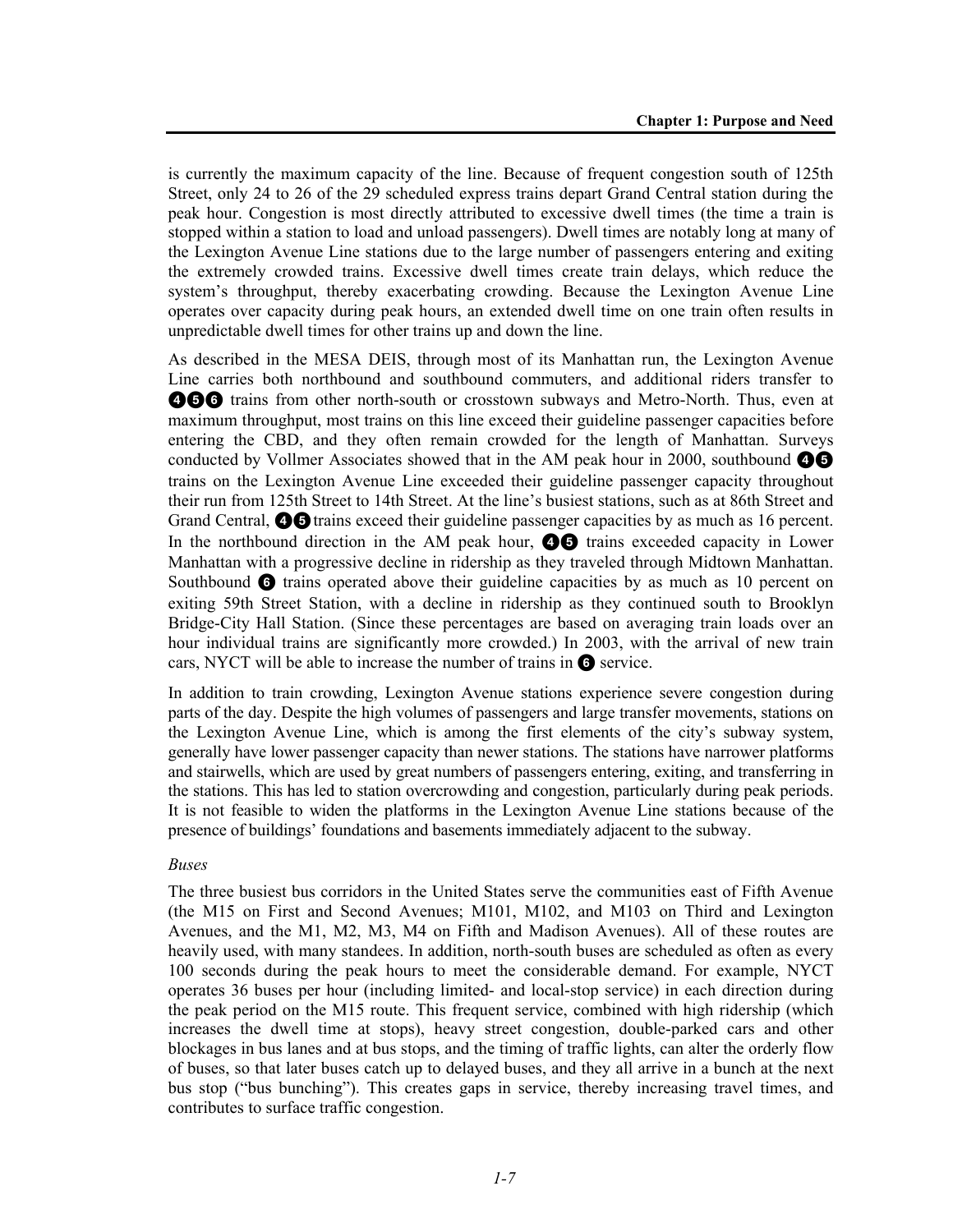is currently the maximum capacity of the line. Because of frequent congestion south of 125th Street, only 24 to 26 of the 29 scheduled express trains depart Grand Central station during the peak hour. Congestion is most directly attributed to excessive dwell times (the time a train is stopped within a station to load and unload passengers). Dwell times are notably long at many of the Lexington Avenue Line stations due to the large number of passengers entering and exiting the extremely crowded trains. Excessive dwell times create train delays, which reduce the system's throughput, thereby exacerbating crowding. Because the Lexington Avenue Line operates over capacity during peak hours, an extended dwell time on one train often results in unpredictable dwell times for other trains up and down the line.

As described in the MESA DEIS, through most of its Manhattan run, the Lexington Avenue Line carries both northbound and southbound commuters, and additional riders transfer to **466** trains from other north-south or crosstown subways and Metro-North. Thus, even at maximum throughput, most trains on this line exceed their guideline passenger capacities before entering the CBD, and they often remain crowded for the length of Manhattan. Surveys conducted by Vollmer Associates showed that in the AM peak hour in 2000, southbound  $\bullet$ trains on the Lexington Avenue Line exceeded their guideline passenger capacity throughout their run from 125th Street to 14th Street. At the line's busiest stations, such as at 86th Street and Grand Central,  $\odot$  of trains exceed their guideline passenger capacities by as much as 16 percent. In the northbound direction in the AM peak hour,  $\bullet$  trains exceeded capacity in Lower Manhattan with a progressive decline in ridership as they traveled through Midtown Manhattan. Southbound  $\odot$  trains operated above their guideline capacities by as much as 10 percent on exiting 59th Street Station, with a decline in ridership as they continued south to Brooklyn Bridge-City Hall Station. (Since these percentages are based on averaging train loads over an hour individual trains are significantly more crowded.) In 2003, with the arrival of new train cars, NYCT will be able to increase the number of trains in  $\bullet$  service.

In addition to train crowding, Lexington Avenue stations experience severe congestion during parts of the day. Despite the high volumes of passengers and large transfer movements, stations on the Lexington Avenue Line, which is among the first elements of the city's subway system, generally have lower passenger capacity than newer stations. The stations have narrower platforms and stairwells, which are used by great numbers of passengers entering, exiting, and transferring in the stations. This has led to station overcrowding and congestion, particularly during peak periods. It is not feasible to widen the platforms in the Lexington Avenue Line stations because of the presence of buildings' foundations and basements immediately adjacent to the subway.

#### *Buses*

The three busiest bus corridors in the United States serve the communities east of Fifth Avenue (the M15 on First and Second Avenues; M101, M102, and M103 on Third and Lexington Avenues, and the M1, M2, M3, M4 on Fifth and Madison Avenues). All of these routes are heavily used, with many standees. In addition, north-south buses are scheduled as often as every 100 seconds during the peak hours to meet the considerable demand. For example, NYCT operates 36 buses per hour (including limited- and local-stop service) in each direction during the peak period on the M15 route. This frequent service, combined with high ridership (which increases the dwell time at stops), heavy street congestion, double-parked cars and other blockages in bus lanes and at bus stops, and the timing of traffic lights, can alter the orderly flow of buses, so that later buses catch up to delayed buses, and they all arrive in a bunch at the next bus stop ("bus bunching"). This creates gaps in service, thereby increasing travel times, and contributes to surface traffic congestion.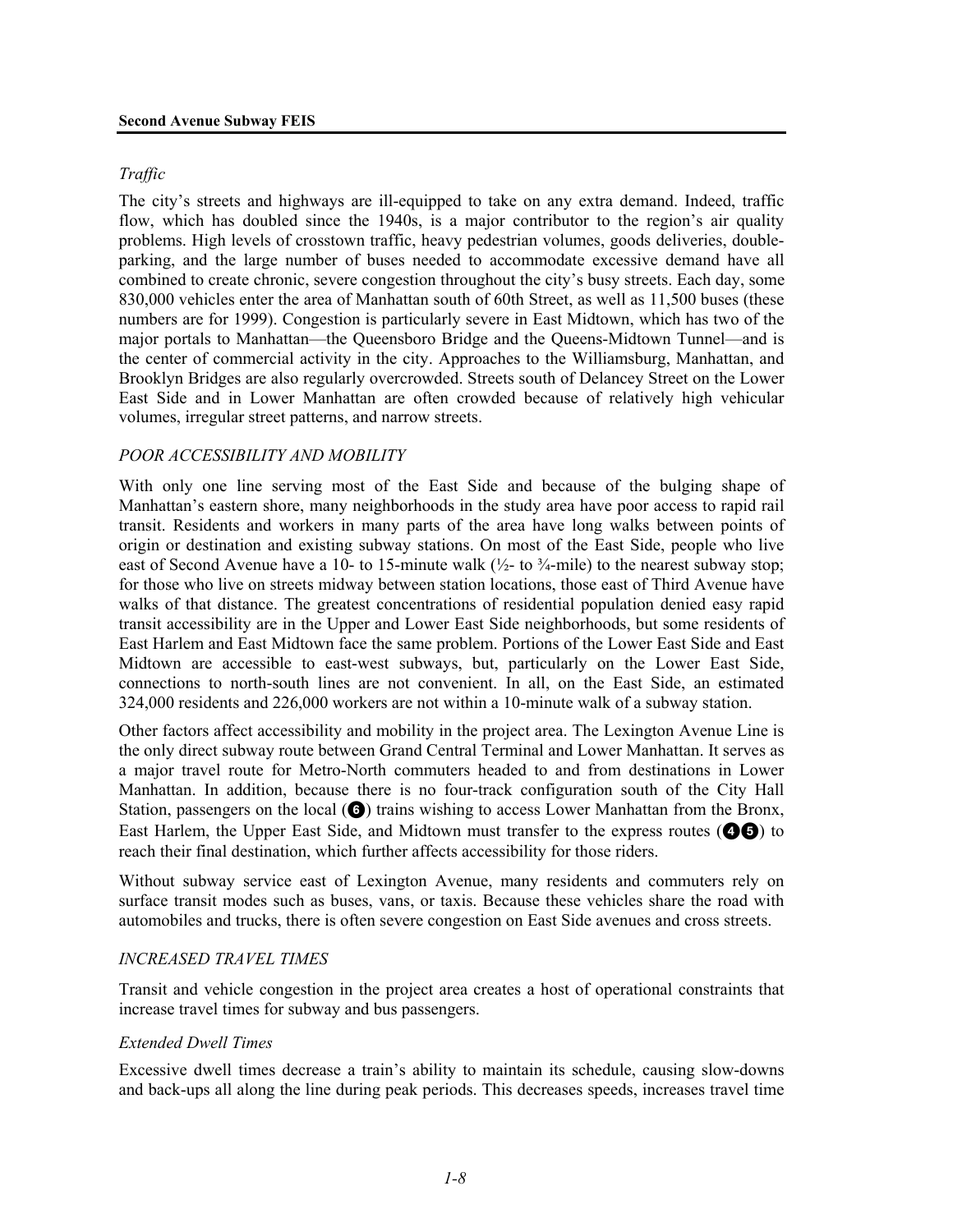### *Traffic*

The city's streets and highways are ill-equipped to take on any extra demand. Indeed, traffic flow, which has doubled since the 1940s, is a major contributor to the region's air quality problems. High levels of crosstown traffic, heavy pedestrian volumes, goods deliveries, doubleparking, and the large number of buses needed to accommodate excessive demand have all combined to create chronic, severe congestion throughout the city's busy streets. Each day, some 830,000 vehicles enter the area of Manhattan south of 60th Street, as well as 11,500 buses (these numbers are for 1999). Congestion is particularly severe in East Midtown, which has two of the major portals to Manhattan—the Queensboro Bridge and the Queens-Midtown Tunnel—and is the center of commercial activity in the city. Approaches to the Williamsburg, Manhattan, and Brooklyn Bridges are also regularly overcrowded. Streets south of Delancey Street on the Lower East Side and in Lower Manhattan are often crowded because of relatively high vehicular volumes, irregular street patterns, and narrow streets.

### *POOR ACCESSIBILITY AND MOBILITY*

With only one line serving most of the East Side and because of the bulging shape of Manhattan's eastern shore, many neighborhoods in the study area have poor access to rapid rail transit. Residents and workers in many parts of the area have long walks between points of origin or destination and existing subway stations. On most of the East Side, people who live east of Second Avenue have a 10- to 15-minute walk ( $\frac{1}{2}$ - to  $\frac{3}{4}$ -mile) to the nearest subway stop; for those who live on streets midway between station locations, those east of Third Avenue have walks of that distance. The greatest concentrations of residential population denied easy rapid transit accessibility are in the Upper and Lower East Side neighborhoods, but some residents of East Harlem and East Midtown face the same problem. Portions of the Lower East Side and East Midtown are accessible to east-west subways, but, particularly on the Lower East Side, connections to north-south lines are not convenient. In all, on the East Side, an estimated 324,000 residents and 226,000 workers are not within a 10-minute walk of a subway station.

Other factors affect accessibility and mobility in the project area. The Lexington Avenue Line is the only direct subway route between Grand Central Terminal and Lower Manhattan. It serves as a major travel route for Metro-North commuters headed to and from destinations in Lower Manhattan. In addition, because there is no four-track configuration south of the City Hall Station, passengers on the local  $\left( \bigodot \right)$  trains wishing to access Lower Manhattan from the Bronx, East Harlem, the Upper East Side, and Midtown must transfer to the express routes  $($ reach their final destination, which further affects accessibility for those riders.

Without subway service east of Lexington Avenue, many residents and commuters rely on surface transit modes such as buses, vans, or taxis. Because these vehicles share the road with automobiles and trucks, there is often severe congestion on East Side avenues and cross streets.

#### *INCREASED TRAVEL TIMES*

Transit and vehicle congestion in the project area creates a host of operational constraints that increase travel times for subway and bus passengers.

#### *Extended Dwell Times*

Excessive dwell times decrease a train's ability to maintain its schedule, causing slow-downs and back-ups all along the line during peak periods. This decreases speeds, increases travel time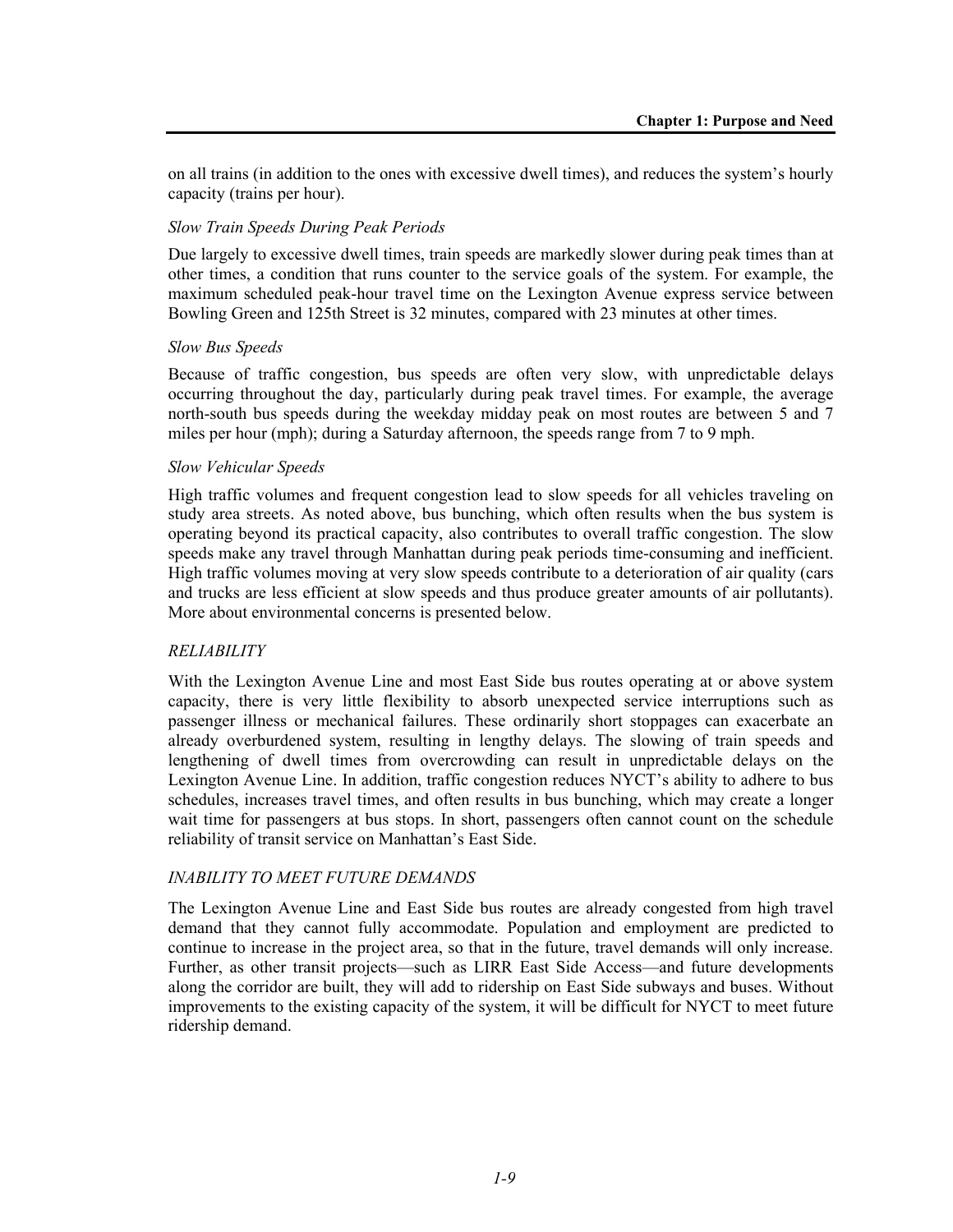on all trains (in addition to the ones with excessive dwell times), and reduces the system's hourly capacity (trains per hour).

#### *Slow Train Speeds During Peak Periods*

Due largely to excessive dwell times, train speeds are markedly slower during peak times than at other times, a condition that runs counter to the service goals of the system. For example, the maximum scheduled peak-hour travel time on the Lexington Avenue express service between Bowling Green and 125th Street is 32 minutes, compared with 23 minutes at other times.

#### *Slow Bus Speeds*

Because of traffic congestion, bus speeds are often very slow, with unpredictable delays occurring throughout the day, particularly during peak travel times. For example, the average north-south bus speeds during the weekday midday peak on most routes are between 5 and 7 miles per hour (mph); during a Saturday afternoon, the speeds range from 7 to 9 mph.

#### *Slow Vehicular Speeds*

High traffic volumes and frequent congestion lead to slow speeds for all vehicles traveling on study area streets. As noted above, bus bunching, which often results when the bus system is operating beyond its practical capacity, also contributes to overall traffic congestion. The slow speeds make any travel through Manhattan during peak periods time-consuming and inefficient. High traffic volumes moving at very slow speeds contribute to a deterioration of air quality (cars and trucks are less efficient at slow speeds and thus produce greater amounts of air pollutants). More about environmental concerns is presented below.

# *RELIABILITY*

With the Lexington Avenue Line and most East Side bus routes operating at or above system capacity, there is very little flexibility to absorb unexpected service interruptions such as passenger illness or mechanical failures. These ordinarily short stoppages can exacerbate an already overburdened system, resulting in lengthy delays. The slowing of train speeds and lengthening of dwell times from overcrowding can result in unpredictable delays on the Lexington Avenue Line. In addition, traffic congestion reduces NYCT's ability to adhere to bus schedules, increases travel times, and often results in bus bunching, which may create a longer wait time for passengers at bus stops. In short, passengers often cannot count on the schedule reliability of transit service on Manhattan's East Side.

# *INABILITY TO MEET FUTURE DEMANDS*

The Lexington Avenue Line and East Side bus routes are already congested from high travel demand that they cannot fully accommodate. Population and employment are predicted to continue to increase in the project area, so that in the future, travel demands will only increase. Further, as other transit projects—such as LIRR East Side Access—and future developments along the corridor are built, they will add to ridership on East Side subways and buses. Without improvements to the existing capacity of the system, it will be difficult for NYCT to meet future ridership demand.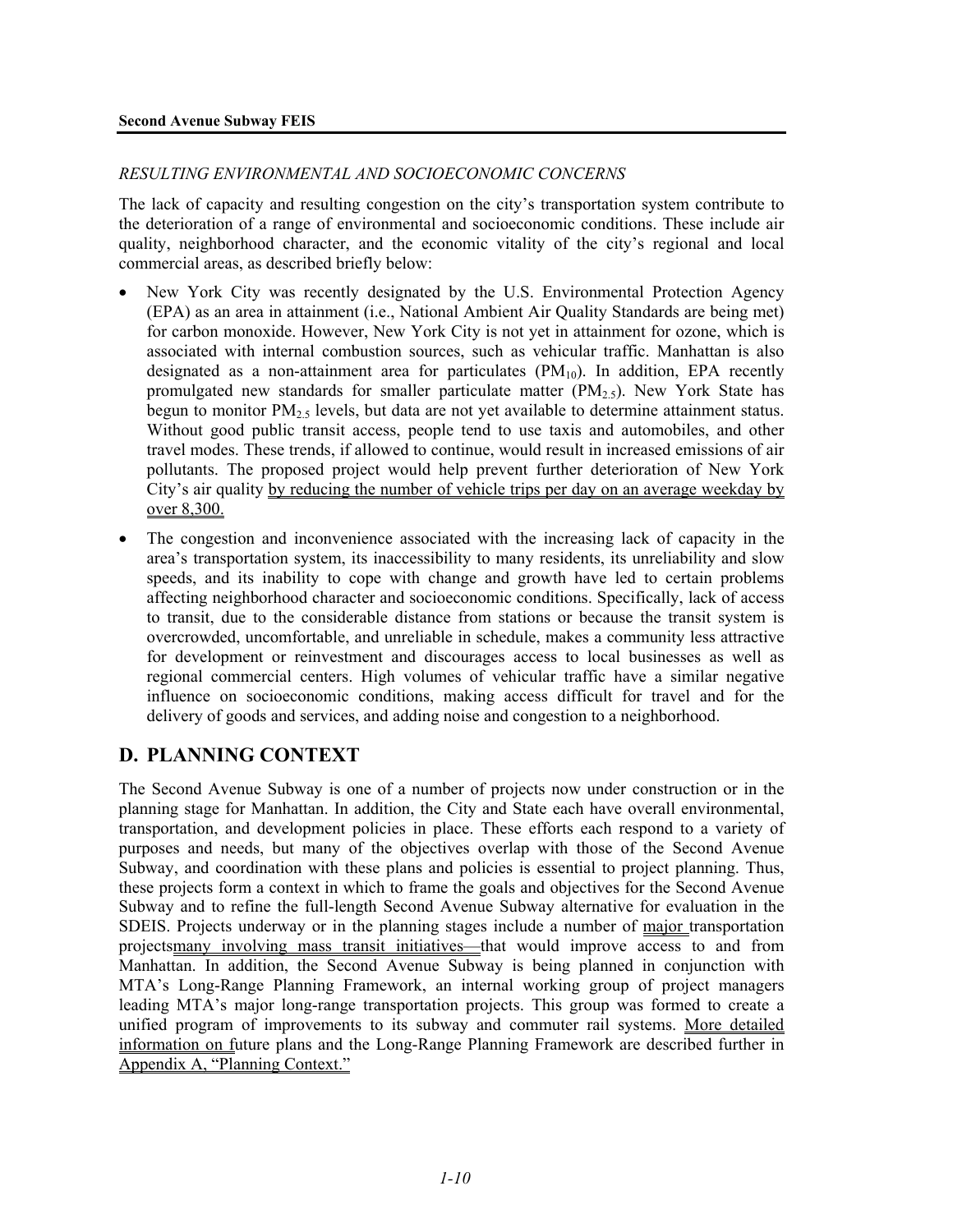#### *RESULTING ENVIRONMENTAL AND SOCIOECONOMIC CONCERNS*

The lack of capacity and resulting congestion on the city's transportation system contribute to the deterioration of a range of environmental and socioeconomic conditions. These include air quality, neighborhood character, and the economic vitality of the city's regional and local commercial areas, as described briefly below:

- New York City was recently designated by the U.S. Environmental Protection Agency (EPA) as an area in attainment (i.e., National Ambient Air Quality Standards are being met) for carbon monoxide. However, New York City is not yet in attainment for ozone, which is associated with internal combustion sources, such as vehicular traffic. Manhattan is also designated as a non-attainment area for particulates  $(PM_{10})$ . In addition, EPA recently promulgated new standards for smaller particulate matter  $(PM<sub>2.5</sub>)$ . New York State has begun to monitor PM<sub>2.5</sub> levels, but data are not yet available to determine attainment status. Without good public transit access, people tend to use taxis and automobiles, and other travel modes. These trends, if allowed to continue, would result in increased emissions of air pollutants. The proposed project would help prevent further deterioration of New York City's air quality by reducing the number of vehicle trips per day on an average weekday by over 8,300.
- The congestion and inconvenience associated with the increasing lack of capacity in the area's transportation system, its inaccessibility to many residents, its unreliability and slow speeds, and its inability to cope with change and growth have led to certain problems affecting neighborhood character and socioeconomic conditions. Specifically, lack of access to transit, due to the considerable distance from stations or because the transit system is overcrowded, uncomfortable, and unreliable in schedule, makes a community less attractive for development or reinvestment and discourages access to local businesses as well as regional commercial centers. High volumes of vehicular traffic have a similar negative influence on socioeconomic conditions, making access difficult for travel and for the delivery of goods and services, and adding noise and congestion to a neighborhood.

# **D. PLANNING CONTEXT**

The Second Avenue Subway is one of a number of projects now under construction or in the planning stage for Manhattan. In addition, the City and State each have overall environmental, transportation, and development policies in place. These efforts each respond to a variety of purposes and needs, but many of the objectives overlap with those of the Second Avenue Subway, and coordination with these plans and policies is essential to project planning. Thus, these projects form a context in which to frame the goals and objectives for the Second Avenue Subway and to refine the full-length Second Avenue Subway alternative for evaluation in the SDEIS. Projects underway or in the planning stages include a number of major transportation projectsmany involving mass transit initiatives—that would improve access to and from Manhattan. In addition, the Second Avenue Subway is being planned in conjunction with MTA's Long-Range Planning Framework, an internal working group of project managers leading MTA's major long-range transportation projects. This group was formed to create a unified program of improvements to its subway and commuter rail systems. More detailed information on future plans and the Long-Range Planning Framework are described further in Appendix A, "Planning Context."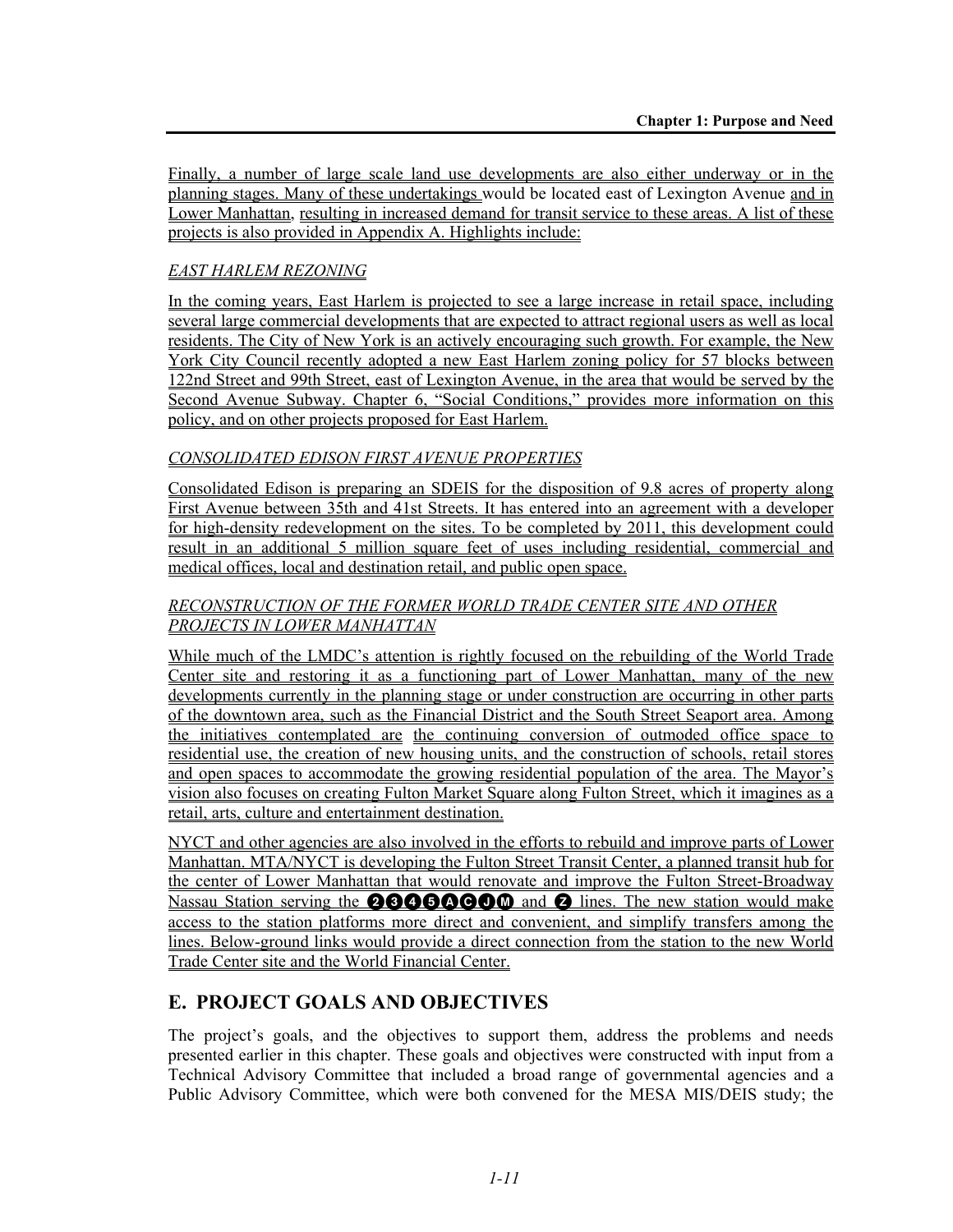Finally, a number of large scale land use developments are also either underway or in the planning stages. Many of these undertakings would be located east of Lexington Avenue and in Lower Manhattan, resulting in increased demand for transit service to these areas. A list of these projects is also provided in Appendix A. Highlights include:

# *EAST HARLEM REZONING*

In the coming years, East Harlem is projected to see a large increase in retail space, including several large commercial developments that are expected to attract regional users as well as local residents. The City of New York is an actively encouraging such growth. For example, the New York City Council recently adopted a new East Harlem zoning policy for 57 blocks between 122nd Street and 99th Street, east of Lexington Avenue, in the area that would be served by the Second Avenue Subway. Chapter 6, "Social Conditions," provides more information on this policy, and on other projects proposed for East Harlem.

# *CONSOLIDATED EDISON FIRST AVENUE PROPERTIES*

Consolidated Edison is preparing an SDEIS for the disposition of 9.8 acres of property along First Avenue between 35th and 41st Streets. It has entered into an agreement with a developer for high-density redevelopment on the sites. To be completed by 2011, this development could result in an additional 5 million square feet of uses including residential, commercial and medical offices, local and destination retail, and public open space.

# *RECONSTRUCTION OF THE FORMER WORLD TRADE CENTER SITE AND OTHER PROJECTS IN LOWER MANHATTAN*

While much of the LMDC's attention is rightly focused on the rebuilding of the World Trade Center site and restoring it as a functioning part of Lower Manhattan, many of the new developments currently in the planning stage or under construction are occurring in other parts of the downtown area, such as the Financial District and the South Street Seaport area. Among the initiatives contemplated are the continuing conversion of outmoded office space to residential use, the creation of new housing units, and the construction of schools, retail stores and open spaces to accommodate the growing residential population of the area. The Mayor's vision also focuses on creating Fulton Market Square along Fulton Street, which it imagines as a retail, arts, culture and entertainment destination.

NYCT and other agencies are also involved in the efforts to rebuild and improve parts of Lower Manhattan. MTA/NYCT is developing the Fulton Street Transit Center, a planned transit hub for the center of Lower Manhattan that would renovate and improve the Fulton Street-Broadway Nassau Station serving the **23466AC** and **2** lines. The new station would make access to the station platforms more direct and convenient, and simplify transfers among the lines. Below-ground links would provide a direct connection from the station to the new World Trade Center site and the World Financial Center.

# **E. PROJECT GOALS AND OBJECTIVES**

The project's goals, and the objectives to support them, address the problems and needs presented earlier in this chapter. These goals and objectives were constructed with input from a Technical Advisory Committee that included a broad range of governmental agencies and a Public Advisory Committee, which were both convened for the MESA MIS/DEIS study; the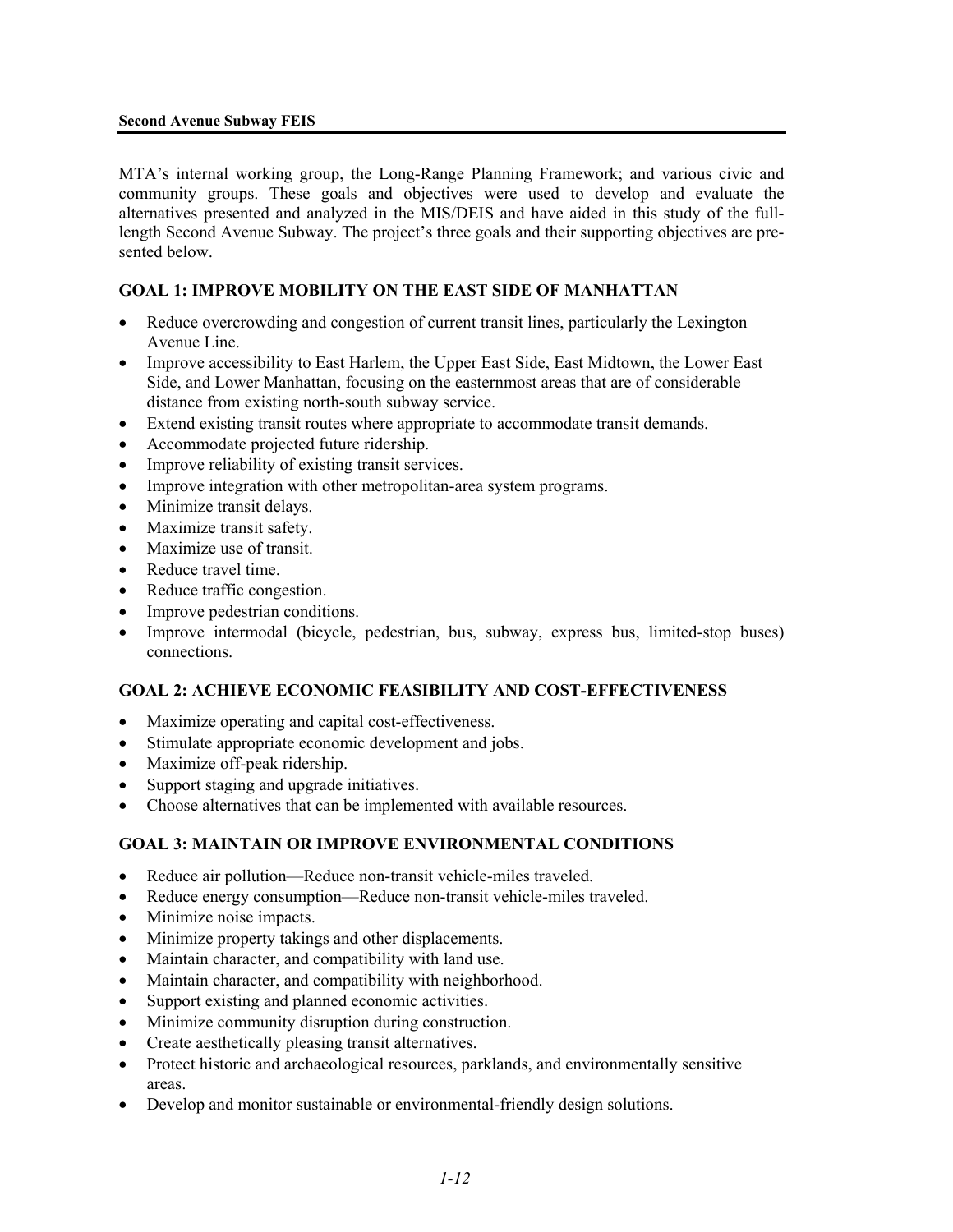#### **Second Avenue Subway FEIS**

MTA's internal working group, the Long-Range Planning Framework; and various civic and community groups. These goals and objectives were used to develop and evaluate the alternatives presented and analyzed in the MIS/DEIS and have aided in this study of the fulllength Second Avenue Subway. The project's three goals and their supporting objectives are presented below.

# **GOAL 1: IMPROVE MOBILITY ON THE EAST SIDE OF MANHATTAN**

- Reduce overcrowding and congestion of current transit lines, particularly the Lexington Avenue Line.
- Improve accessibility to East Harlem, the Upper East Side, East Midtown, the Lower East Side, and Lower Manhattan, focusing on the easternmost areas that are of considerable distance from existing north-south subway service.
- Extend existing transit routes where appropriate to accommodate transit demands.
- Accommodate projected future ridership.
- Improve reliability of existing transit services.
- Improve integration with other metropolitan-area system programs.
- Minimize transit delays.
- Maximize transit safety.
- Maximize use of transit.
- Reduce travel time.
- Reduce traffic congestion.
- Improve pedestrian conditions.
- Improve intermodal (bicycle, pedestrian, bus, subway, express bus, limited-stop buses) connections.

# **GOAL 2: ACHIEVE ECONOMIC FEASIBILITY AND COST-EFFECTIVENESS**

- Maximize operating and capital cost-effectiveness.
- Stimulate appropriate economic development and jobs.
- Maximize off-peak ridership.
- Support staging and upgrade initiatives.
- Choose alternatives that can be implemented with available resources.

#### **GOAL 3: MAINTAIN OR IMPROVE ENVIRONMENTAL CONDITIONS**

- Reduce air pollution—Reduce non-transit vehicle-miles traveled.
- Reduce energy consumption—Reduce non-transit vehicle-miles traveled.
- Minimize noise impacts.
- Minimize property takings and other displacements.
- Maintain character, and compatibility with land use.
- Maintain character, and compatibility with neighborhood.
- Support existing and planned economic activities.
- Minimize community disruption during construction.
- Create aesthetically pleasing transit alternatives.
- Protect historic and archaeological resources, parklands, and environmentally sensitive areas.
- Develop and monitor sustainable or environmental-friendly design solutions.